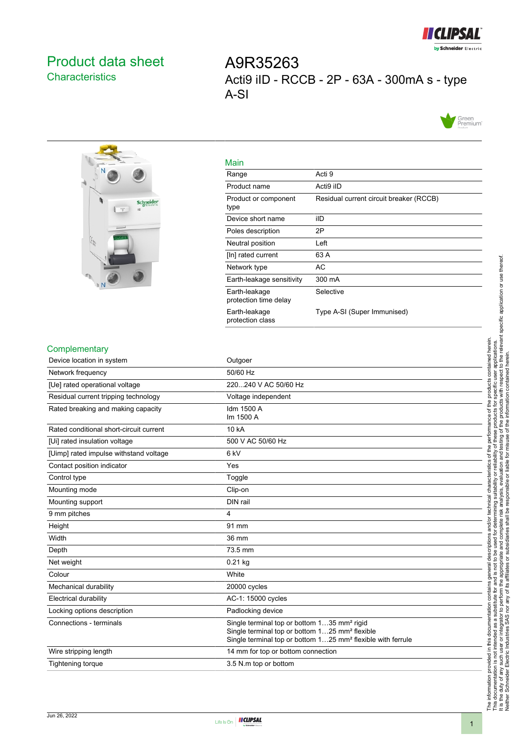

## <span id="page-0-0"></span>Product data sheet **Characteristics**

A9R35263 Acti9 iID - RCCB - 2P - 63A - 300mA s - type A-SI





| Main                                   |                                         |
|----------------------------------------|-----------------------------------------|
| Range                                  | Acti 9                                  |
| Product name                           | Acti9 iID                               |
| Product or component<br>type           | Residual current circuit breaker (RCCB) |
| Device short name                      | ilD                                     |
| Poles description                      | 2Ρ                                      |
| Neutral position                       | Left                                    |
| [In] rated current                     | 63 A                                    |
| Network type                           | AC                                      |
| Earth-leakage sensitivity              | 300 mA                                  |
| Earth-leakage<br>protection time delay | Selective                               |
| Earth-leakage<br>protection class      | Type A-SI (Super Immunised)             |

#### Complementary

| <b>Complementary</b>                    |                                                                                                                                                                                                  |
|-----------------------------------------|--------------------------------------------------------------------------------------------------------------------------------------------------------------------------------------------------|
| Device location in system               | Outgoer                                                                                                                                                                                          |
| Network frequency                       | 50/60 Hz                                                                                                                                                                                         |
| [Ue] rated operational voltage          | 220240 V AC 50/60 Hz                                                                                                                                                                             |
| Residual current tripping technology    | Voltage independent                                                                                                                                                                              |
| Rated breaking and making capacity      | Idm 1500 A<br>Im 1500 A                                                                                                                                                                          |
| Rated conditional short-circuit current | 10 kA                                                                                                                                                                                            |
| [Ui] rated insulation voltage           | 500 V AC 50/60 Hz                                                                                                                                                                                |
| [Uimp] rated impulse withstand voltage  | 6 <sub>kV</sub>                                                                                                                                                                                  |
| Contact position indicator              | Yes                                                                                                                                                                                              |
| Control type                            | Toggle                                                                                                                                                                                           |
| Mounting mode                           | Clip-on                                                                                                                                                                                          |
| Mounting support                        | DIN rail                                                                                                                                                                                         |
| 9 mm pitches                            | 4                                                                                                                                                                                                |
| Height                                  | 91 mm                                                                                                                                                                                            |
| Width                                   | 36 mm                                                                                                                                                                                            |
| Depth                                   | 73.5 mm                                                                                                                                                                                          |
| Net weight                              | $0.21$ kg                                                                                                                                                                                        |
| Colour                                  | White                                                                                                                                                                                            |
| Mechanical durability                   | 20000 cycles                                                                                                                                                                                     |
| Electrical durability                   | AC-1: 15000 cycles                                                                                                                                                                               |
| Locking options description             | Padlocking device                                                                                                                                                                                |
| Connections - terminals                 | Single terminal top or bottom 135 mm <sup>2</sup> rigid<br>Single terminal top or bottom 125 mm <sup>2</sup> flexible<br>Single terminal top or bottom 125 mm <sup>2</sup> flexible with ferrule |
| Wire stripping length                   | 14 mm for top or bottom connection                                                                                                                                                               |
| <b>Tightening torque</b>                | 3.5 N.m top or bottom                                                                                                                                                                            |